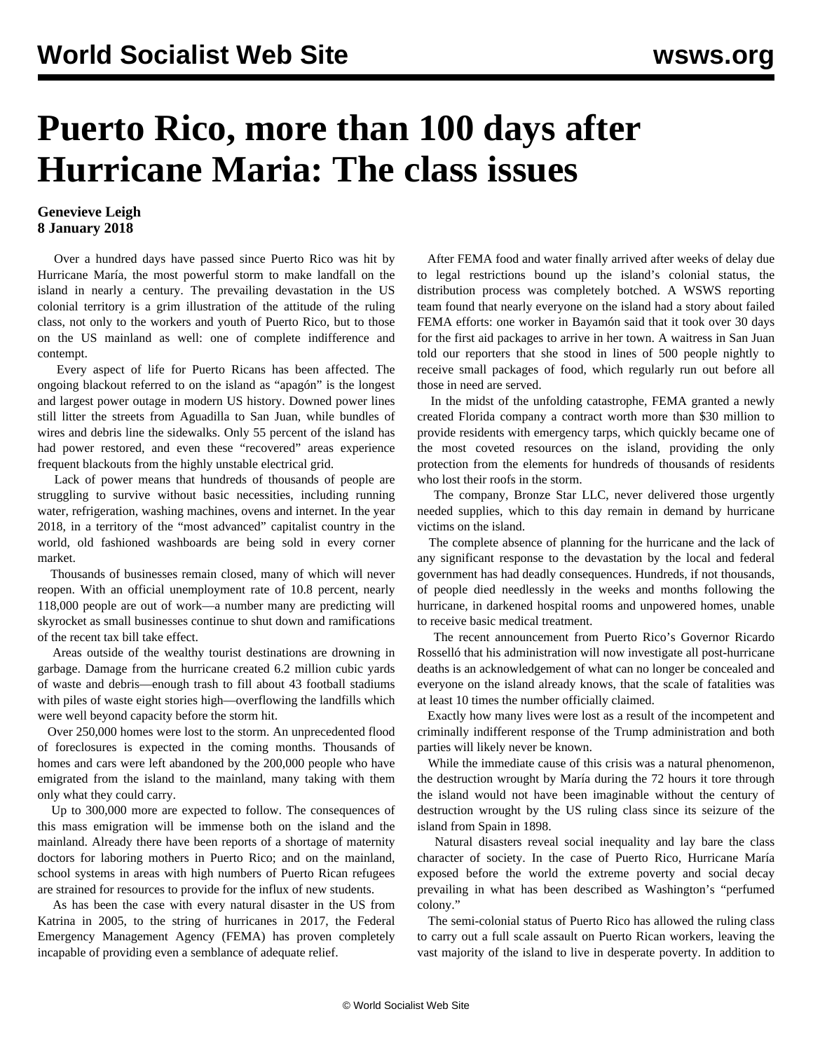## **Puerto Rico, more than 100 days after Hurricane Maria: The class issues**

## **Genevieve Leigh 8 January 2018**

 Over a hundred days have passed since Puerto Rico was hit by Hurricane María, the most powerful storm to make landfall on the island in nearly a century. The prevailing devastation in the US colonial territory is a grim illustration of the attitude of the ruling class, not only to the workers and youth of Puerto Rico, but to those on the US mainland as well: one of complete indifference and contempt.

 Every aspect of life for Puerto Ricans has been affected. The ongoing blackout referred to on the island as "apagón" is the longest and largest power outage in modern US history. Downed power lines still litter the streets from Aguadilla to San Juan, while bundles of wires and debris line the sidewalks. Only 55 percent of the island has had power restored, and even these "recovered" areas experience frequent blackouts from the highly unstable electrical grid.

 Lack of power means that hundreds of thousands of people are struggling to survive without basic necessities, including running water, refrigeration, washing machines, ovens and internet. In the year 2018, in a territory of the "most advanced" capitalist country in the world, old fashioned washboards are being sold in every corner market.

 Thousands of businesses remain closed, many of which will never reopen. With an official unemployment rate of 10.8 percent, nearly 118,000 people are out of work—a number many are predicting will skyrocket as small businesses continue to shut down and ramifications of the recent tax bill take effect.

 Areas outside of the wealthy tourist destinations are drowning in garbage. Damage from the hurricane created 6.2 million cubic yards of waste and debris—enough trash to fill about 43 football stadiums with piles of waste eight stories high—overflowing the landfills which were well beyond capacity before the storm hit.

 Over 250,000 homes were lost to the storm. An unprecedented flood of foreclosures is expected in the coming months. Thousands of homes and cars were left abandoned by the 200,000 people who have emigrated from the island to the mainland, many taking with them only what they could carry.

 Up to 300,000 more are expected to follow. The consequences of this mass emigration will be immense both on the island and the mainland. Already there have been reports of a shortage of maternity doctors for laboring mothers in Puerto Rico; and on the mainland, school systems in areas with high numbers of Puerto Rican refugees are strained for resources to provide for the influx of new students.

 As has been the case with every natural disaster in the US from Katrina in 2005, to the string of hurricanes in 2017, the Federal Emergency Management Agency (FEMA) has proven completely incapable of providing even a semblance of adequate relief.

 After FEMA food and water finally arrived after weeks of delay due to legal restrictions bound up the island's colonial status, the distribution process was completely botched. A WSWS reporting team found that nearly everyone on the island had a story about failed FEMA efforts: one worker in Bayamón said that it took over 30 days for the first aid packages to arrive in her town. A waitress in San Juan told our reporters that she stood in lines of 500 people nightly to receive small packages of food, which regularly run out before all those in need are served.

 In the midst of the unfolding catastrophe, FEMA granted a newly created Florida company a contract worth more than \$30 million to provide residents with emergency tarps, which quickly became one of the most coveted resources on the island, providing the only protection from the elements for hundreds of thousands of residents who lost their roofs in the storm.

 The company, Bronze Star LLC, never delivered those urgently needed supplies, which to this day remain in demand by hurricane victims on the island.

 The complete absence of planning for the hurricane and the lack of any significant response to the devastation by the local and federal government has had deadly consequences. Hundreds, if not thousands, of people died needlessly in the weeks and months following the hurricane, in darkened hospital rooms and unpowered homes, unable to receive basic medical treatment.

 The recent announcement from Puerto Rico's Governor Ricardo Rosselló that his administration will now investigate all post-hurricane deaths is an acknowledgement of what can no longer be concealed and everyone on the island already knows, that the scale of fatalities was at least 10 times the number officially claimed.

 Exactly how many lives were lost as a result of the incompetent and criminally indifferent response of the Trump administration and both parties will likely never be known.

 While the immediate cause of this crisis was a natural phenomenon, the destruction wrought by María during the 72 hours it tore through the island would not have been imaginable without the century of destruction wrought by the US ruling class since its seizure of the island from Spain in 1898.

 Natural disasters reveal social inequality and lay bare the class character of society. In the case of Puerto Rico, Hurricane María exposed before the world the extreme poverty and social decay prevailing in what has been described as Washington's "perfumed colony."

 The semi-colonial status of Puerto Rico has allowed the ruling class to carry out a full scale assault on Puerto Rican workers, leaving the vast majority of the island to live in desperate poverty. In addition to